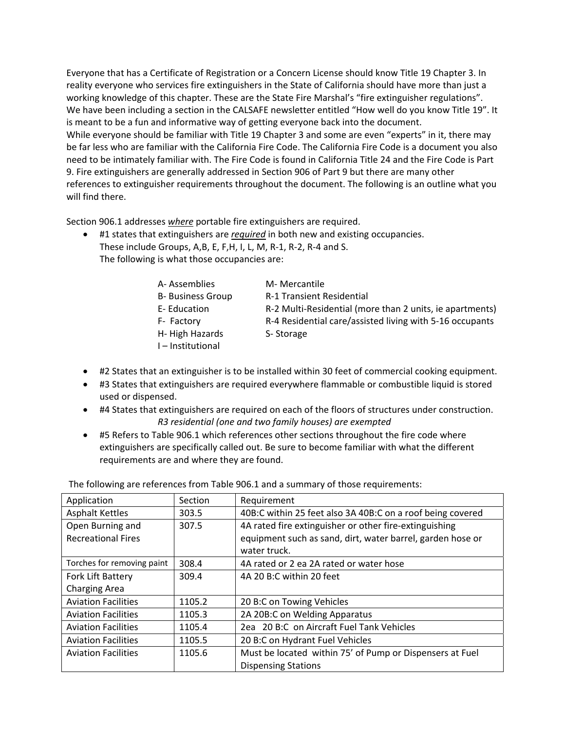Everyone that has a Certificate of Registration or a Concern License should know Title 19 Chapter 3. In reality everyone who services fire extinguishers in the State of California should have more than just a working knowledge of this chapter. These are the State Fire Marshal's "fire extinguisher regulations". We have been including a section in the CALSAFE newsletter entitled "How well do you know Title 19". It is meant to be a fun and informative way of getting everyone back into the document. While everyone should be familiar with Title 19 Chapter 3 and some are even "experts" in it, there may be far less who are familiar with the California Fire Code. The California Fire Code is a document you also need to be intimately familiar with. The Fire Code is found in California Title 24 and the Fire Code is Part 9. Fire extinguishers are generally addressed in Section 906 of Part 9 but there are many other references to extinguisher requirements throughout the document. The following is an outline what you will find there.

Section 906.1 addresses *where* portable fire extinguishers are required.

 #1 states that extinguishers are *required* in both new and existing occupancies. These include Groups, A,B, E, F,H, I, L, M, R‐1, R‐2, R‐4 and S. The following is what those occupancies are:

| A-Assemblies             | M- Mercantile                                            |
|--------------------------|----------------------------------------------------------|
| <b>B- Business Group</b> | <b>R-1 Transient Residential</b>                         |
| E-Education              | R-2 Multi-Residential (more than 2 units, ie apartments) |
| F- Factory               | R-4 Residential care/assisted living with 5-16 occupants |
| H-High Hazards           | S-Storage                                                |
| I-Institutional          |                                                          |

- #2 States that an extinguisher is to be installed within 30 feet of commercial cooking equipment.
- #3 States that extinguishers are required everywhere flammable or combustible liquid is stored used or dispensed.
- #4 States that extinguishers are required on each of the floors of structures under construction. *R3 residential (one and two family houses) are exempted*
- #5 Refers to Table 906.1 which references other sections throughout the fire code where extinguishers are specifically called out. Be sure to become familiar with what the different requirements are and where they are found.

The following are references from Table 906.1 and a summary of those requirements:

| Application                | Section | Requirement                                                |
|----------------------------|---------|------------------------------------------------------------|
| <b>Asphalt Kettles</b>     | 303.5   | 40B:C within 25 feet also 3A 40B:C on a roof being covered |
| Open Burning and           | 307.5   | 4A rated fire extinguisher or other fire-extinguishing     |
| <b>Recreational Fires</b>  |         | equipment such as sand, dirt, water barrel, garden hose or |
|                            |         | water truck.                                               |
| Torches for removing paint | 308.4   | 4A rated or 2 ea 2A rated or water hose                    |
| Fork Lift Battery          | 309.4   | 4A 20 B:C within 20 feet                                   |
| <b>Charging Area</b>       |         |                                                            |
| <b>Aviation Facilities</b> | 1105.2  | 20 B:C on Towing Vehicles                                  |
| <b>Aviation Facilities</b> | 1105.3  | 2A 20B:C on Welding Apparatus                              |
| <b>Aviation Facilities</b> | 1105.4  | 2ea 20 B:C on Aircraft Fuel Tank Vehicles                  |
| <b>Aviation Facilities</b> | 1105.5  | 20 B:C on Hydrant Fuel Vehicles                            |
| <b>Aviation Facilities</b> | 1105.6  | Must be located within 75' of Pump or Dispensers at Fuel   |
|                            |         | <b>Dispensing Stations</b>                                 |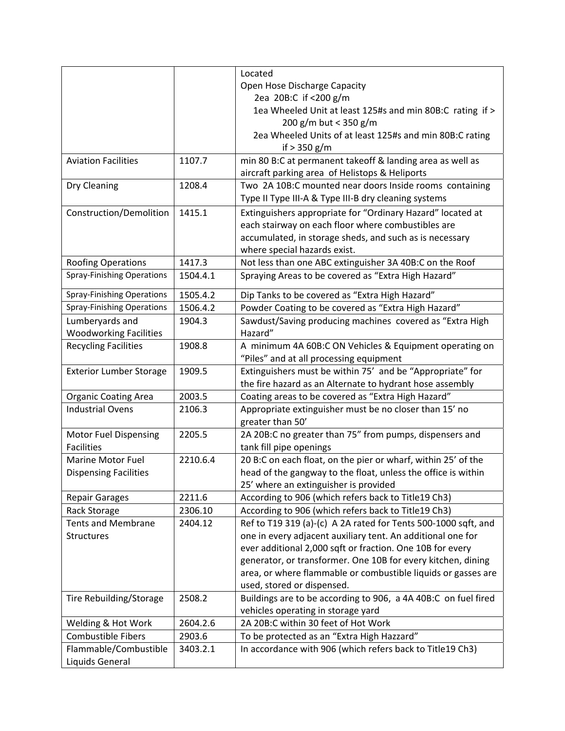|                                   |          | Located                                                        |
|-----------------------------------|----------|----------------------------------------------------------------|
|                                   |          | Open Hose Discharge Capacity                                   |
|                                   |          | 2ea 20B:C if <200 g/m                                          |
|                                   |          | 1ea Wheeled Unit at least 125#s and min 80B:C rating if >      |
|                                   |          | 200 g/m but < 350 g/m                                          |
|                                   |          | 2ea Wheeled Units of at least 125#s and min 80B:C rating       |
|                                   |          | if $> 350$ g/m                                                 |
| <b>Aviation Facilities</b>        | 1107.7   | min 80 B:C at permanent takeoff & landing area as well as      |
|                                   |          | aircraft parking area of Helistops & Heliports                 |
| Dry Cleaning                      | 1208.4   | Two 2A 10B:C mounted near doors Inside rooms containing        |
|                                   |          | Type II Type III-A & Type III-B dry cleaning systems           |
| Construction/Demolition           | 1415.1   | Extinguishers appropriate for "Ordinary Hazard" located at     |
|                                   |          | each stairway on each floor where combustibles are             |
|                                   |          | accumulated, in storage sheds, and such as is necessary        |
|                                   |          | where special hazards exist.                                   |
| <b>Roofing Operations</b>         | 1417.3   | Not less than one ABC extinguisher 3A 40B:C on the Roof        |
| Spray-Finishing Operations        | 1504.4.1 | Spraying Areas to be covered as "Extra High Hazard"            |
| <b>Spray-Finishing Operations</b> | 1505.4.2 | Dip Tanks to be covered as "Extra High Hazard"                 |
| <b>Spray-Finishing Operations</b> | 1506.4.2 | Powder Coating to be covered as "Extra High Hazard"            |
| Lumberyards and                   | 1904.3   | Sawdust/Saving producing machines covered as "Extra High       |
| <b>Woodworking Facilities</b>     |          | Hazard"                                                        |
| <b>Recycling Facilities</b>       | 1908.8   | A minimum 4A 60B:C ON Vehicles & Equipment operating on        |
|                                   |          | "Piles" and at all processing equipment                        |
| <b>Exterior Lumber Storage</b>    | 1909.5   | Extinguishers must be within 75' and be "Appropriate" for      |
|                                   |          | the fire hazard as an Alternate to hydrant hose assembly       |
| <b>Organic Coating Area</b>       | 2003.5   | Coating areas to be covered as "Extra High Hazard"             |
| <b>Industrial Ovens</b>           | 2106.3   | Appropriate extinguisher must be no closer than 15' no         |
|                                   |          | greater than 50'                                               |
| <b>Motor Fuel Dispensing</b>      | 2205.5   | 2A 20B:C no greater than 75" from pumps, dispensers and        |
| <b>Facilities</b>                 |          | tank fill pipe openings                                        |
| <b>Marine Motor Fuel</b>          | 2210.6.4 | 20 B:C on each float, on the pier or wharf, within 25' of the  |
| <b>Dispensing Facilities</b>      |          | head of the gangway to the float, unless the office is within  |
|                                   |          | 25' where an extinguisher is provided                          |
| <b>Repair Garages</b>             | 2211.6   | According to 906 (which refers back to Title19 Ch3)            |
| Rack Storage                      | 2306.10  | According to 906 (which refers back to Title19 Ch3)            |
| <b>Tents and Membrane</b>         | 2404.12  | Ref to T19 319 (a)-(c) A 2A rated for Tents 500-1000 sqft, and |
| <b>Structures</b>                 |          | one in every adjacent auxiliary tent. An additional one for    |
|                                   |          | ever additional 2,000 sqft or fraction. One 10B for every      |
|                                   |          | generator, or transformer. One 10B for every kitchen, dining   |
|                                   |          | area, or where flammable or combustible liquids or gasses are  |
|                                   |          | used, stored or dispensed.                                     |
| Tire Rebuilding/Storage           | 2508.2   | Buildings are to be according to 906, a 4A 40B:C on fuel fired |
|                                   |          | vehicles operating in storage yard                             |
| Welding & Hot Work                | 2604.2.6 | 2A 20B:C within 30 feet of Hot Work                            |
| <b>Combustible Fibers</b>         | 2903.6   | To be protected as an "Extra High Hazzard"                     |
| Flammable/Combustible             | 3403.2.1 | In accordance with 906 (which refers back to Title19 Ch3)      |
| Liquids General                   |          |                                                                |